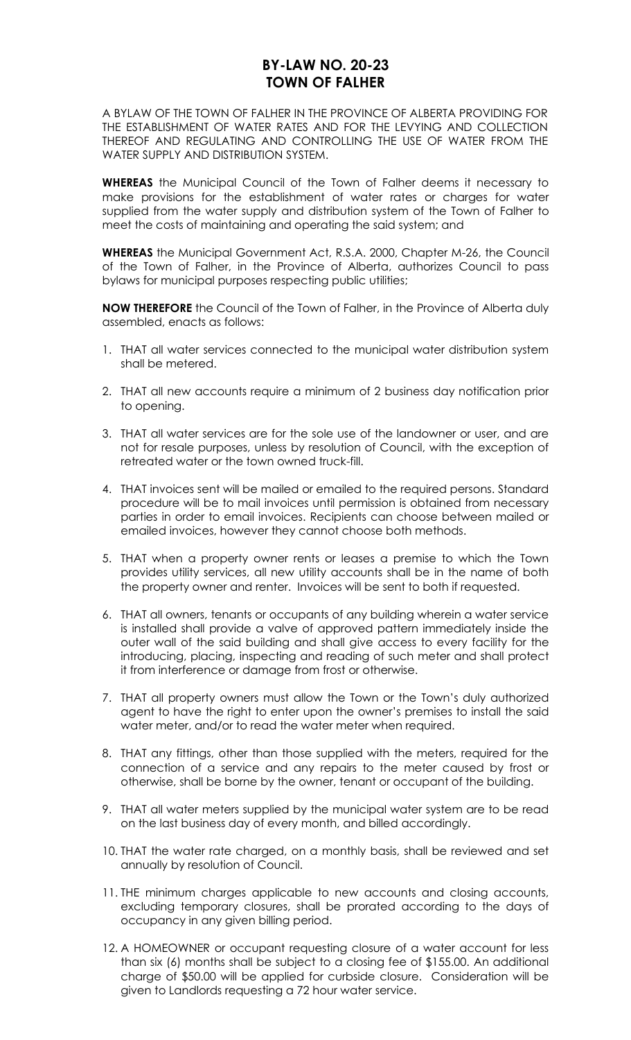# **BY-LAW NO. 20-23 TOWN OF FALHER**

A BYLAW OF THE TOWN OF FALHER IN THE PROVINCE OF ALBERTA PROVIDING FOR THE ESTABLISHMENT OF WATER RATES AND FOR THE LEVYING AND COLLECTION THEREOF AND REGULATING AND CONTROLLING THE USE OF WATER FROM THE WATER SUPPLY AND DISTRIBUTION SYSTEM.

**WHEREAS** the Municipal Council of the Town of Falher deems it necessary to make provisions for the establishment of water rates or charges for water supplied from the water supply and distribution system of the Town of Falher to meet the costs of maintaining and operating the said system; and

**WHEREAS** the Municipal Government Act, R.S.A. 2000, Chapter M-26, the Council of the Town of Falher, in the Province of Alberta, authorizes Council to pass bylaws for municipal purposes respecting public utilities;

**NOW THEREFORE** the Council of the Town of Falher, in the Province of Alberta duly assembled, enacts as follows:

- 1. THAT all water services connected to the municipal water distribution system shall be metered.
- 2. THAT all new accounts require a minimum of 2 business day notification prior to opening.
- 3. THAT all water services are for the sole use of the landowner or user, and are not for resale purposes, unless by resolution of Council, with the exception of retreated water or the town owned truck-fill.
- 4. THAT invoices sent will be mailed or emailed to the required persons. Standard procedure will be to mail invoices until permission is obtained from necessary parties in order to email invoices. Recipients can choose between mailed or emailed invoices, however they cannot choose both methods.
- 5. THAT when a property owner rents or leases a premise to which the Town provides utility services, all new utility accounts shall be in the name of both the property owner and renter. Invoices will be sent to both if requested.
- 6. THAT all owners, tenants or occupants of any building wherein a water service is installed shall provide a valve of approved pattern immediately inside the outer wall of the said building and shall give access to every facility for the introducing, placing, inspecting and reading of such meter and shall protect it from interference or damage from frost or otherwise.
- 7. THAT all property owners must allow the Town or the Town's duly authorized agent to have the right to enter upon the owner's premises to install the said water meter, and/or to read the water meter when required.
- 8. THAT any fittings, other than those supplied with the meters, required for the connection of a service and any repairs to the meter caused by frost or otherwise, shall be borne by the owner, tenant or occupant of the building.
- 9. THAT all water meters supplied by the municipal water system are to be read on the last business day of every month, and billed accordingly.
- 10. THAT the water rate charged, on a monthly basis, shall be reviewed and set annually by resolution of Council.
- 11. THE minimum charges applicable to new accounts and closing accounts, excluding temporary closures, shall be prorated according to the days of occupancy in any given billing period.
- 12. A HOMEOWNER or occupant requesting closure of a water account for less than six (6) months shall be subject to a closing fee of \$155.00. An additional charge of \$50.00 will be applied for curbside closure. Consideration will be given to Landlords requesting a 72 hour water service.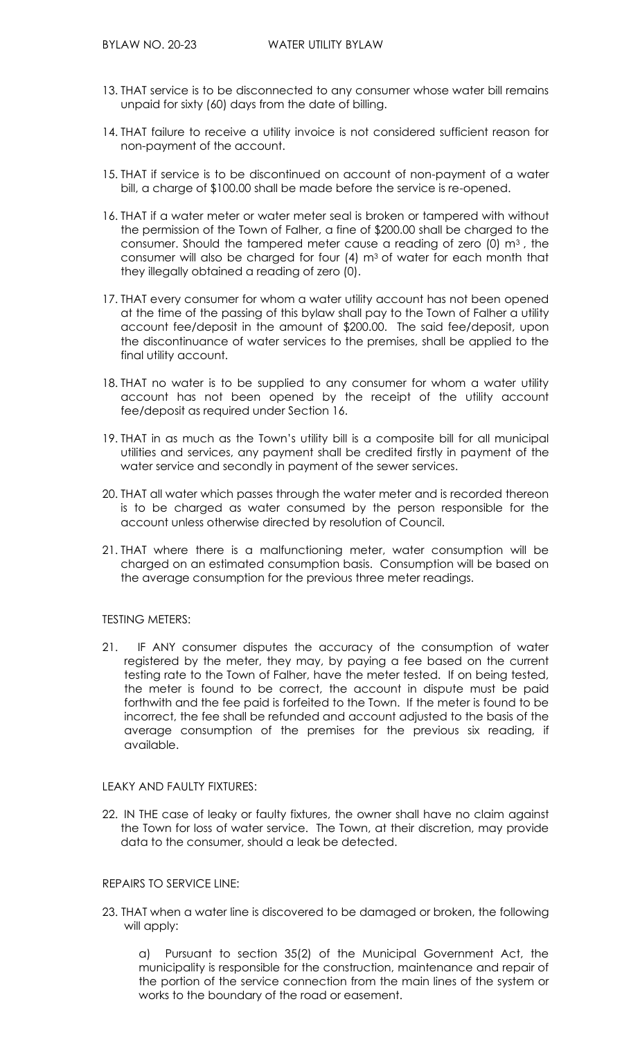- 13. THAT service is to be disconnected to any consumer whose water bill remains unpaid for sixty (60) days from the date of billing.
- 14. THAT failure to receive a utility invoice is not considered sufficient reason for non-payment of the account.
- 15. THAT if service is to be discontinued on account of non-payment of a water bill, a charge of \$100.00 shall be made before the service is re-opened.
- 16. THAT if a water meter or water meter seal is broken or tampered with without the permission of the Town of Falher, a fine of \$200.00 shall be charged to the consumer. Should the tampered meter cause a reading of zero (0) m3 , the consumer will also be charged for four  $(4)$  m<sup>3</sup> of water for each month that they illegally obtained a reading of zero (0).
- 17. THAT every consumer for whom a water utility account has not been opened at the time of the passing of this bylaw shall pay to the Town of Falher a utility account fee/deposit in the amount of \$200.00. The said fee/deposit, upon the discontinuance of water services to the premises, shall be applied to the final utility account.
- 18. THAT no water is to be supplied to any consumer for whom a water utility account has not been opened by the receipt of the utility account fee/deposit as required under Section 16.
- 19. THAT in as much as the Town's utility bill is a composite bill for all municipal utilities and services, any payment shall be credited firstly in payment of the water service and secondly in payment of the sewer services.
- 20. THAT all water which passes through the water meter and is recorded thereon is to be charged as water consumed by the person responsible for the account unless otherwise directed by resolution of Council.
- 21. THAT where there is a malfunctioning meter, water consumption will be charged on an estimated consumption basis. Consumption will be based on the average consumption for the previous three meter readings.

## TESTING METERS:

21. IF ANY consumer disputes the accuracy of the consumption of water registered by the meter, they may, by paying a fee based on the current testing rate to the Town of Falher, have the meter tested. If on being tested, the meter is found to be correct, the account in dispute must be paid forthwith and the fee paid is forfeited to the Town. If the meter is found to be incorrect, the fee shall be refunded and account adjusted to the basis of the average consumption of the premises for the previous six reading, if available.

#### LEAKY AND FAULTY FIXTURES:

22. IN THE case of leaky or faulty fixtures, the owner shall have no claim against the Town for loss of water service. The Town, at their discretion, may provide data to the consumer, should a leak be detected.

#### REPAIRS TO SERVICE LINE:

23. THAT when a water line is discovered to be damaged or broken, the following will apply:

a) Pursuant to section 35(2) of the Municipal Government Act, the municipality is responsible for the construction, maintenance and repair of the portion of the service connection from the main lines of the system or works to the boundary of the road or easement.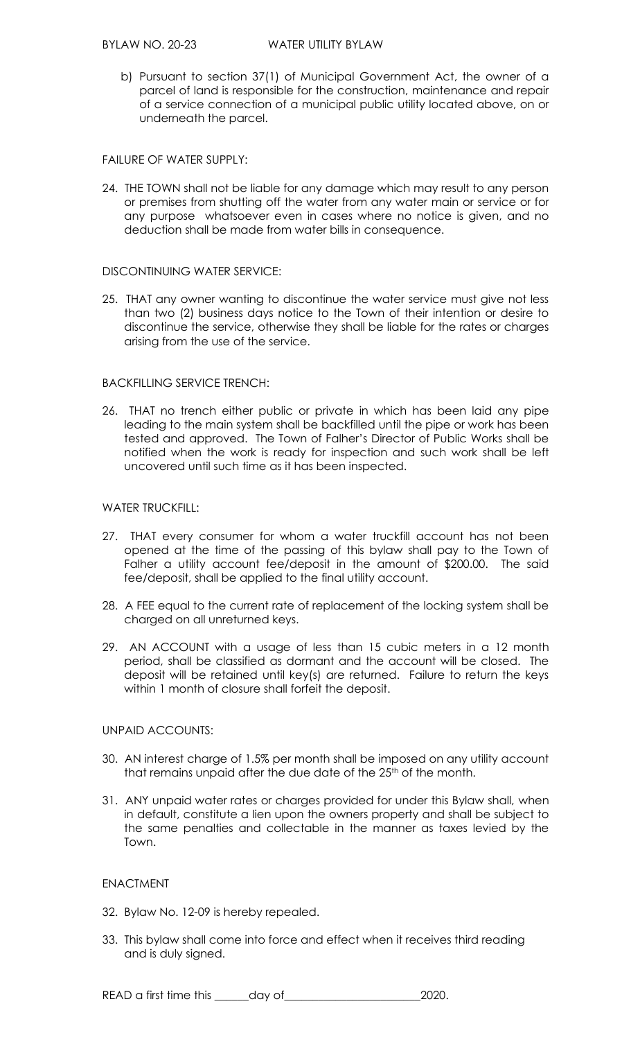b) Pursuant to section 37(1) of Municipal Government Act, the owner of a parcel of land is responsible for the construction, maintenance and repair of a service connection of a municipal public utility located above, on or underneath the parcel.

## FAILURE OF WATER SUPPLY:

24. THE TOWN shall not be liable for any damage which may result to any person or premises from shutting off the water from any water main or service or for any purpose whatsoever even in cases where no notice is given, and no deduction shall be made from water bills in consequence.

## DISCONTINUING WATER SERVICE:

25. THAT any owner wanting to discontinue the water service must give not less than two (2) business days notice to the Town of their intention or desire to discontinue the service, otherwise they shall be liable for the rates or charges arising from the use of the service.

# BACKFILLING SERVICE TRENCH:

26. THAT no trench either public or private in which has been laid any pipe leading to the main system shall be backfilled until the pipe or work has been tested and approved. The Town of Falher's Director of Public Works shall be notified when the work is ready for inspection and such work shall be left uncovered until such time as it has been inspected.

# WATER TRUCKFILL:

- 27. THAT every consumer for whom a water truckfill account has not been opened at the time of the passing of this bylaw shall pay to the Town of Falher a utility account fee/deposit in the amount of \$200.00. The said fee/deposit, shall be applied to the final utility account.
- 28. A FEE equal to the current rate of replacement of the locking system shall be charged on all unreturned keys.
- 29. AN ACCOUNT with a usage of less than 15 cubic meters in a 12 month period, shall be classified as dormant and the account will be closed. The deposit will be retained until key(s) are returned. Failure to return the keys within 1 month of closure shall forfeit the deposit.

# UNPAID ACCOUNTS:

- 30. AN interest charge of 1.5% per month shall be imposed on any utility account that remains unpaid after the due date of the 25<sup>th</sup> of the month.
- 31. ANY unpaid water rates or charges provided for under this Bylaw shall, when in default, constitute a lien upon the owners property and shall be subject to the same penalties and collectable in the manner as taxes levied by the Town.

# ENACTMENT

- 32. Bylaw No. 12-09 is hereby repealed.
- 33. This bylaw shall come into force and effect when it receives third reading and is duly signed.

READ a first time this \_\_\_\_\_\_day of\_\_\_\_\_\_\_\_\_\_\_\_\_\_\_\_\_\_\_\_\_\_\_\_2020.